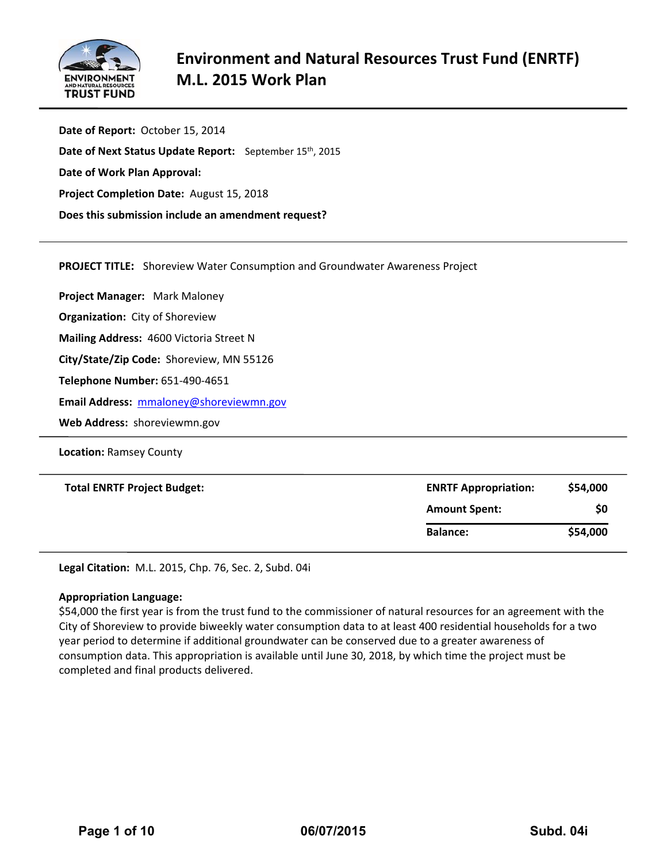

**Date of Report:** October 15, 2014 **Date of Next Status Update Report:**  September 15th, 2015 **Date of Work Plan Approval: Project Completion Date:** August 15, 2018  **Does this submission include an amendment request?** 

**PROJECT TITLE:** Shoreview Water Consumption and Groundwater Awareness Project

**Project Manager:**  Mark Maloney **Organization:** City of Shoreview **Mailing Address:** 4600 Victoria Street N

**City/State/Zip Code:** Shoreview, MN 55126

**Telephone Number:** 651‐490‐4651

**Email Address:** mmaloney@shoreviewmn.gov

**Web Address:** shoreviewmn.gov

**Location:** Ramsey County

| <b>Total ENRTF Project Budget:</b> | <b>ENRTF Appropriation:</b> | \$54,000 |
|------------------------------------|-----------------------------|----------|
|                                    | <b>Amount Spent:</b>        | \$0      |
|                                    | <b>Balance:</b>             | \$54,000 |

**Legal Citation:** M.L. 2015, Chp. 76, Sec. 2, Subd. 04i

#### **Appropriation Language:**

\$54,000 the first year is from the trust fund to the commissioner of natural resources for an agreement with the City of Shoreview to provide biweekly water consumption data to at least 400 residential households for a two year period to determine if additional groundwater can be conserved due to a greater awareness of consumption data. This appropriation is available until June 30, 2018, by which time the project must be completed and final products delivered.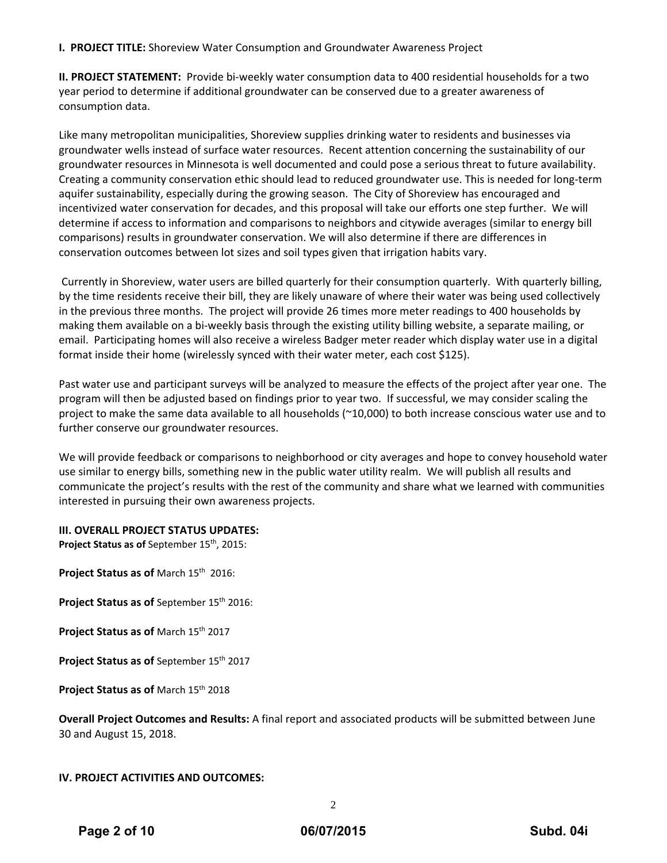## **I. PROJECT TITLE:** Shoreview Water Consumption and Groundwater Awareness Project

**II. PROJECT STATEMENT:** Provide bi‐weekly water consumption data to 400 residential households for a two year period to determine if additional groundwater can be conserved due to a greater awareness of consumption data.

Like many metropolitan municipalities, Shoreview supplies drinking water to residents and businesses via groundwater wells instead of surface water resources. Recent attention concerning the sustainability of our groundwater resources in Minnesota is well documented and could pose a serious threat to future availability. Creating a community conservation ethic should lead to reduced groundwater use. This is needed for long‐term aquifer sustainability, especially during the growing season. The City of Shoreview has encouraged and incentivized water conservation for decades, and this proposal will take our efforts one step further. We will determine if access to information and comparisons to neighbors and citywide averages (similar to energy bill comparisons) results in groundwater conservation. We will also determine if there are differences in conservation outcomes between lot sizes and soil types given that irrigation habits vary.

Currently in Shoreview, water users are billed quarterly for their consumption quarterly. With quarterly billing, by the time residents receive their bill, they are likely unaware of where their water was being used collectively in the previous three months. The project will provide 26 times more meter readings to 400 households by making them available on a bi-weekly basis through the existing utility billing website, a separate mailing, or email. Participating homes will also receive a wireless Badger meter reader which display water use in a digital format inside their home (wirelessly synced with their water meter, each cost \$125).

Past water use and participant surveys will be analyzed to measure the effects of the project after year one. The program will then be adjusted based on findings prior to year two. If successful, we may consider scaling the project to make the same data available to all households (~10,000) to both increase conscious water use and to further conserve our groundwater resources.

We will provide feedback or comparisons to neighborhood or city averages and hope to convey household water use similar to energy bills, something new in the public water utility realm. We will publish all results and communicate the project's results with the rest of the community and share what we learned with communities interested in pursuing their own awareness projects.

## **III. OVERALL PROJECT STATUS UPDATES:**

**Project Status as of** September 15th, 2015:

**Project Status as of** March 15th 2016:

**Project Status as of** September 15th 2016:

**Project Status as of** March 15th 2017

**Project Status as of** September 15th 2017

**Project Status as of** March 15th 2018

**Overall Project Outcomes and Results:** A final report and associated products will be submitted between June 30 and August 15, 2018.

#### **IV. PROJECT ACTIVITIES AND OUTCOMES:**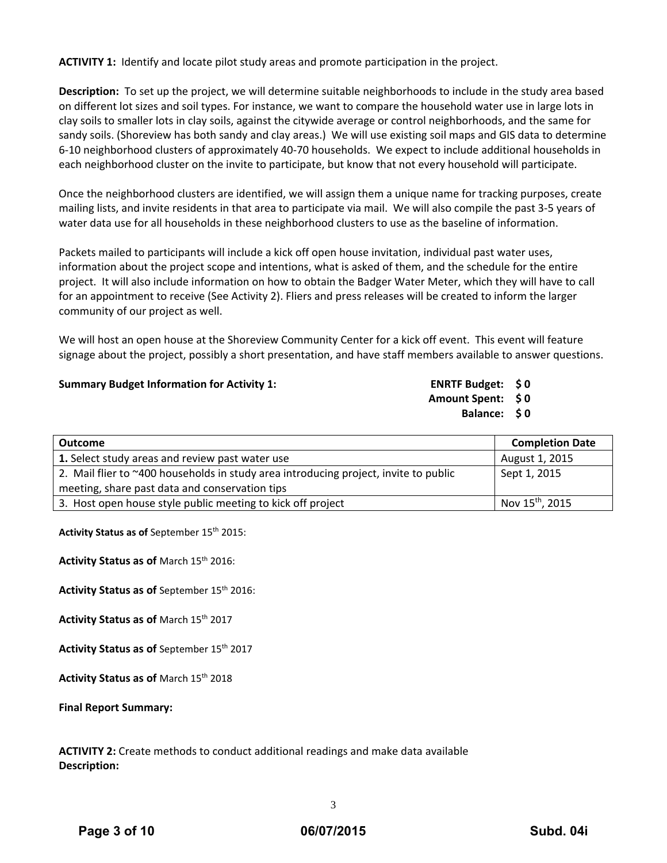**ACTIVITY 1:** Identify and locate pilot study areas and promote participation in the project.

**Description:** To set up the project, we will determine suitable neighborhoods to include in the study area based on different lot sizes and soil types. For instance, we want to compare the household water use in large lots in clay soils to smaller lots in clay soils, against the citywide average or control neighborhoods, and the same for sandy soils. (Shoreview has both sandy and clay areas.) We will use existing soil maps and GIS data to determine 6‐10 neighborhood clusters of approximately 40‐70 households. We expect to include additional households in each neighborhood cluster on the invite to participate, but know that not every household will participate.

Once the neighborhood clusters are identified, we will assign them a unique name for tracking purposes, create mailing lists, and invite residents in that area to participate via mail. We will also compile the past 3‐5 years of water data use for all households in these neighborhood clusters to use as the baseline of information.

Packets mailed to participants will include a kick off open house invitation, individual past water uses, information about the project scope and intentions, what is asked of them, and the schedule for the entire project. It will also include information on how to obtain the Badger Water Meter, which they will have to call for an appointment to receive (See Activity 2). Fliers and press releases will be created to inform the larger community of our project as well.

We will host an open house at the Shoreview Community Center for a kick off event. This event will feature signage about the project, possibly a short presentation, and have staff members available to answer questions.

**Summary Budget Information for Activity 1: ENRTF Budget: \$ 0**

**Amount Spent: \$ 0 Balance: \$ 0**

| <b>Outcome</b>                                                                       | <b>Completion Date</b>      |
|--------------------------------------------------------------------------------------|-----------------------------|
| 1. Select study areas and review past water use                                      | August 1, 2015              |
| 2. Mail flier to ~400 households in study area introducing project, invite to public | Sept 1, 2015                |
| meeting, share past data and conservation tips                                       |                             |
| 3. Host open house style public meeting to kick off project                          | Nov 15 <sup>th</sup> , 2015 |

**Activity Status as of** September 15th 2015:

**Activity Status as of** March 15th 2016:

**Activity Status as of** September 15th 2016:

**Activity Status as of** March 15th 2017

**Activity Status as of** September 15th 2017

**Activity Status as of** March 15th 2018

**Final Report Summary:**

**ACTIVITY 2:** Create methods to conduct additional readings and make data available **Description:**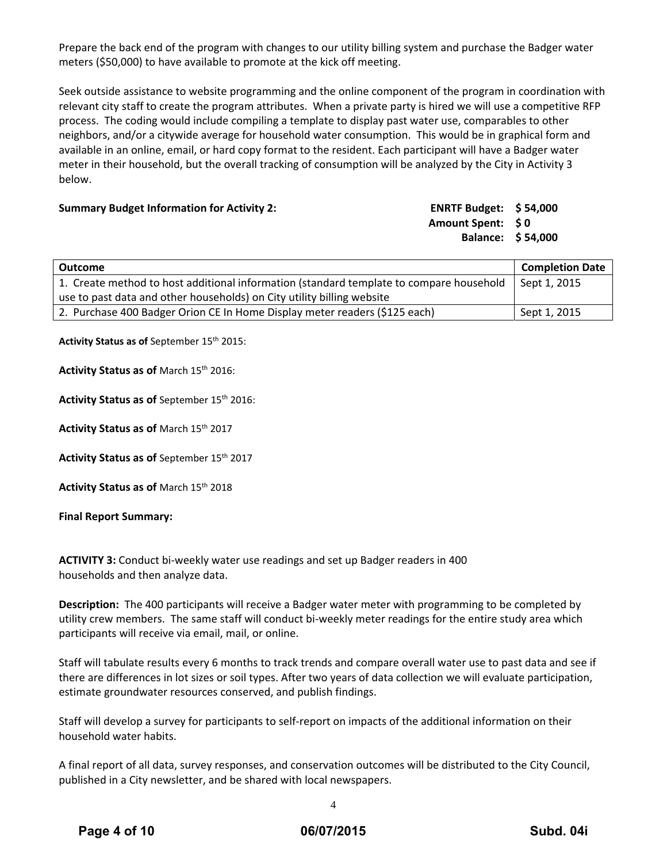Prepare the back end of the program with changes to our utility billing system and purchase the Badger water meters (\$50,000) to have available to promote at the kick off meeting.

Seek outside assistance to website programming and the online component of the program in coordination with relevant city staff to create the program attributes. When a private party is hired we will use a competitive RFP process. The coding would include compiling a template to display past water use, comparables to other neighbors, and/or a citywide average for household water consumption. This would be in graphical form and available in an online, email, or hard copy format to the resident. Each participant will have a Badger water meter in their household, but the overall tracking of consumption will be analyzed by the City in Activity 3 below.

#### **Summary Budget Information for Activity 2:**

| <b>ENRTF Budget:</b> | \$54,000 |
|----------------------|----------|
| <b>Amount Spent:</b> | S O      |
| <b>Balance:</b>      | \$54,000 |

| <b>Outcome</b>                                                                          | <b>Completion Date</b> |
|-----------------------------------------------------------------------------------------|------------------------|
| 1. Create method to host additional information (standard template to compare household | Sept 1, 2015           |
| use to past data and other households) on City utility billing website                  |                        |
| 2. Purchase 400 Badger Orion CE In Home Display meter readers (\$125 each)              | Sept 1, 2015           |

**Activity Status as of** September 15th 2015:

**Activity Status as of** March 15th 2016:

**Activity Status as of** September 15th 2016:

**Activity Status as of** March 15th 2017

**Activity Status as of** September 15th 2017

**Activity Status as of** March 15th 2018

**Final Report Summary:**

**ACTIVITY 3:** Conduct bi‐weekly water use readings and set up Badger readers in 400 households and then analyze data.

**Description:** The 400 participants will receive a Badger water meter with programming to be completed by utility crew members. The same staff will conduct bi-weekly meter readings for the entire study area which participants will receive via email, mail, or online.

Staff will tabulate results every 6 months to track trends and compare overall water use to past data and see if there are differences in lot sizes or soil types. After two years of data collection we will evaluate participation, estimate groundwater resources conserved, and publish findings.

Staff will develop a survey for participants to self‐report on impacts of the additional information on their household water habits.

A final report of all data, survey responses, and conservation outcomes will be distributed to the City Council, published in a City newsletter, and be shared with local newspapers.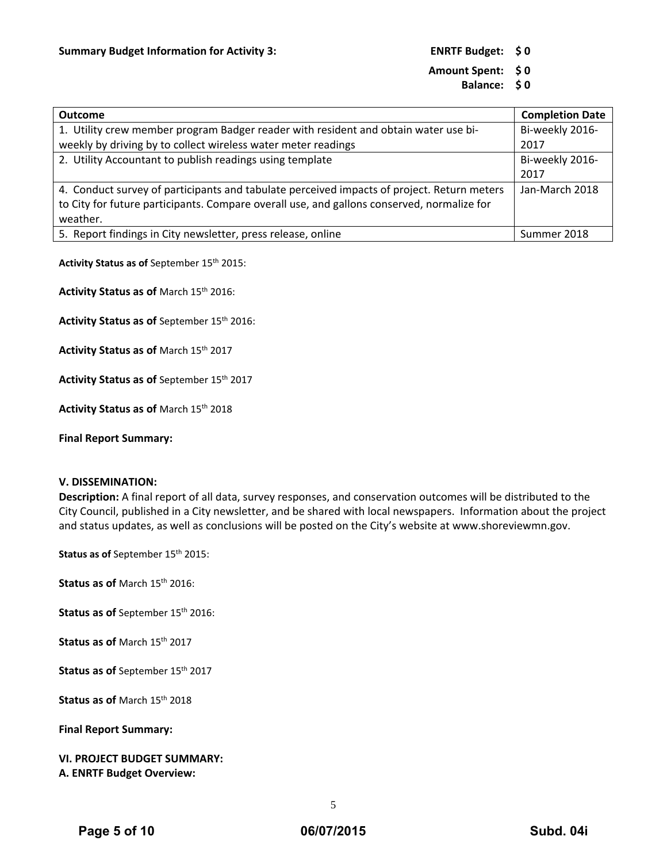## **Amount Spent: \$ 0**

**Balance: \$ 0**

| <b>Outcome</b>                                                                             | <b>Completion Date</b> |
|--------------------------------------------------------------------------------------------|------------------------|
| 1. Utility crew member program Badger reader with resident and obtain water use bi-        | Bi-weekly 2016-        |
| weekly by driving by to collect wireless water meter readings                              | 2017                   |
| 2. Utility Accountant to publish readings using template                                   | Bi-weekly 2016-        |
|                                                                                            | 2017                   |
| 4. Conduct survey of participants and tabulate perceived impacts of project. Return meters | Jan-March 2018         |
| to City for future participants. Compare overall use, and gallons conserved, normalize for |                        |
| weather.                                                                                   |                        |
| 5. Report findings in City newsletter, press release, online                               | Summer 2018            |

**Activity Status as of** September 15th 2015:

**Activity Status as of** March 15th 2016:

**Activity Status as of** September 15th 2016:

**Activity Status as of** March 15th 2017

**Activity Status as of** September 15th 2017

**Activity Status as of** March 15th 2018

**Final Report Summary:**

#### **V. DISSEMINATION:**

**Description:** A final report of all data, survey responses, and conservation outcomes will be distributed to the City Council, published in a City newsletter, and be shared with local newspapers. Information about the project and status updates, as well as conclusions will be posted on the City's website at www.shoreviewmn.gov.

**Status as of** September 15th 2015:

**Status as of** March 15th 2016:

**Status as of** September 15th 2016:

**Status as of** March 15th 2017

**Status as of** September 15th 2017

**Status as of** March 15th 2018

**Final Report Summary:**

## **VI. PROJECT BUDGET SUMMARY: A. ENRTF Budget Overview:**

5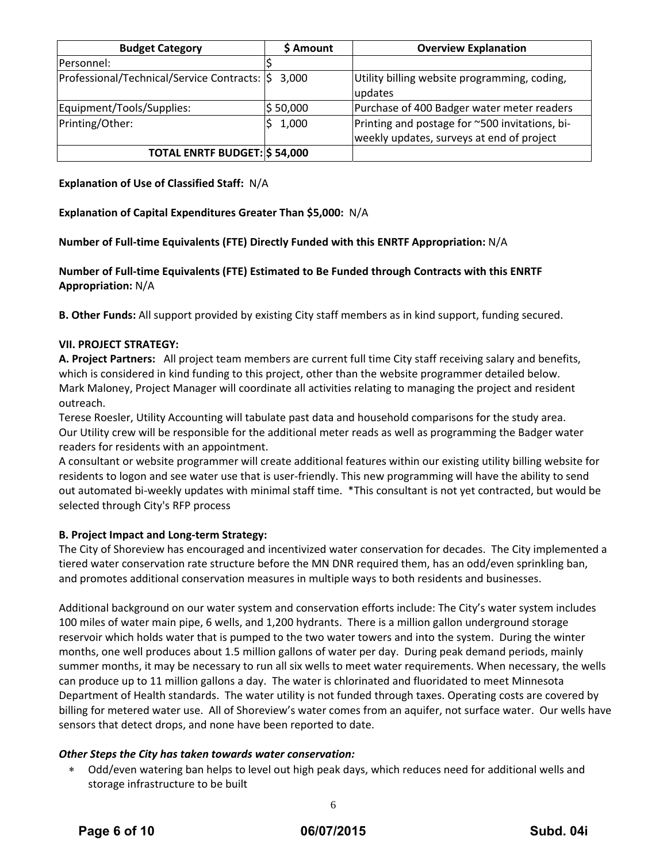| <b>Budget Category</b>                      | \$ Amount | <b>Overview Explanation</b>                                                                 |
|---------------------------------------------|-----------|---------------------------------------------------------------------------------------------|
| Personnel:                                  |           |                                                                                             |
| Professional/Technical/Service Contracts: S | 3.000     | Utility billing website programming, coding,<br>updates                                     |
| Equipment/Tools/Supplies:                   | \$50,000  | Purchase of 400 Badger water meter readers                                                  |
| Printing/Other:                             | 1,000     | Printing and postage for ~500 invitations, bi-<br>weekly updates, surveys at end of project |
| <b>TOTAL ENRTF BUDGET: \$54,000</b>         |           |                                                                                             |

**Explanation of Use of Classified Staff:** N/A

**Explanation of Capital Expenditures Greater Than \$5,000:** N/A

**Number of Full‐time Equivalents (FTE) Directly Funded with this ENRTF Appropriation:** N/A

**Number of Full‐time Equivalents (FTE) Estimated to Be Funded through Contracts with this ENRTF Appropriation:** N/A

**B. Other Funds:** All support provided by existing City staff members as in kind support, funding secured.

## **VII. PROJECT STRATEGY:**

**A. Project Partners:** All project team members are current full time City staff receiving salary and benefits, which is considered in kind funding to this project, other than the website programmer detailed below. Mark Maloney, Project Manager will coordinate all activities relating to managing the project and resident outreach.

Terese Roesler, Utility Accounting will tabulate past data and household comparisons for the study area. Our Utility crew will be responsible for the additional meter reads as well as programming the Badger water readers for residents with an appointment.

A consultant or website programmer will create additional features within our existing utility billing website for residents to logon and see water use that is user‐friendly. This new programming will have the ability to send out automated bi‐weekly updates with minimal staff time. \*This consultant is not yet contracted, but would be selected through City's RFP process

## **B. Project Impact and Long‐term Strategy:**

The City of Shoreview has encouraged and incentivized water conservation for decades. The City implemented a tiered water conservation rate structure before the MN DNR required them, has an odd/even sprinkling ban, and promotes additional conservation measures in multiple ways to both residents and businesses.

Additional background on our water system and conservation efforts include: The City's water system includes 100 miles of water main pipe, 6 wells, and 1,200 hydrants. There is a million gallon underground storage reservoir which holds water that is pumped to the two water towers and into the system. During the winter months, one well produces about 1.5 million gallons of water per day. During peak demand periods, mainly summer months, it may be necessary to run all six wells to meet water requirements. When necessary, the wells can produce up to 11 million gallons a day. The water is chlorinated and fluoridated to meet Minnesota Department of Health standards. The water utility is not funded through taxes. Operating costs are covered by billing for metered water use. All of Shoreview's water comes from an aquifer, not surface water. Our wells have sensors that detect drops, and none have been reported to date.

## *Other Steps the City has taken towards water conservation:*

 Odd/even watering ban helps to level out high peak days, which reduces need for additional wells and storage infrastructure to be built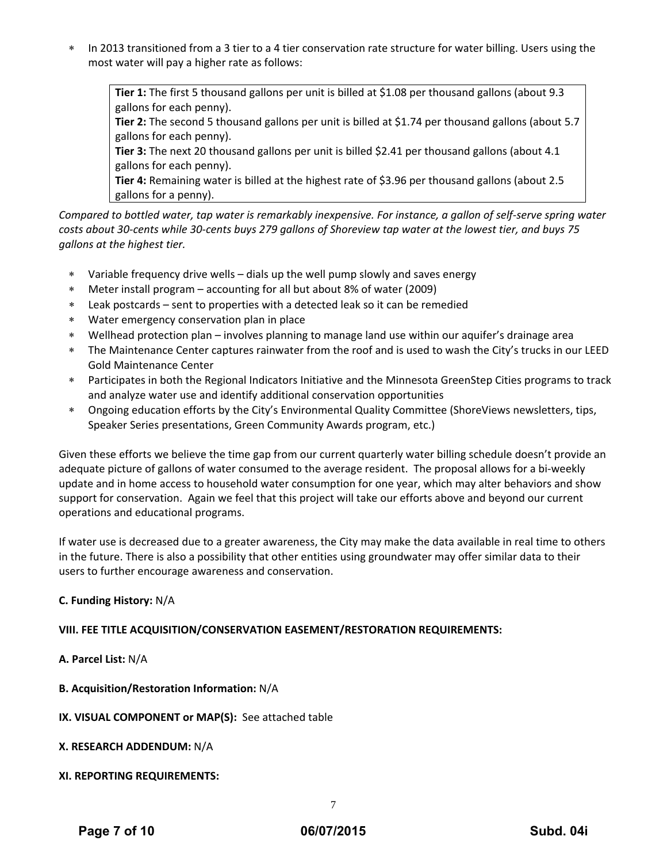\* In 2013 transitioned from a 3 tier to a 4 tier conservation rate structure for water billing. Users using the most water will pay a higher rate as follows:

**Tier 1:** The first 5 thousand gallons per unit is billed at \$1.08 per thousand gallons (about 9.3 gallons for each penny).

**Tier 2:** The second 5 thousand gallons per unit is billed at \$1.74 per thousand gallons (about 5.7 gallons for each penny).

**Tier 3:** The next 20 thousand gallons per unit is billed \$2.41 per thousand gallons (about 4.1 gallons for each penny).

**Tier 4:** Remaining water is billed at the highest rate of \$3.96 per thousand gallons (about 2.5 gallons for a penny).

Compared to bottled water, tap water is remarkably inexpensive. For instance, a gallon of self-serve spring water costs about 30-cents while 30-cents buys 279 gallons of Shoreview tap water at the lowest tier, and buys 75 *gallons at the highest tier.*

- Variable frequency drive wells dials up the well pump slowly and saves energy
- Meter install program accounting for all but about 8% of water (2009)
- Leak postcards sent to properties with a detected leak so it can be remedied
- Water emergency conservation plan in place
- Wellhead protection plan involves planning to manage land use within our aquifer's drainage area
- The Maintenance Center captures rainwater from the roof and is used to wash the City's trucks in our LEED Gold Maintenance Center
- Participates in both the Regional Indicators Initiative and the Minnesota GreenStep Cities programs to track and analyze water use and identify additional conservation opportunities
- Ongoing education efforts by the City's Environmental Quality Committee (ShoreViews newsletters, tips, Speaker Series presentations, Green Community Awards program, etc.)

Given these efforts we believe the time gap from our current quarterly water billing schedule doesn't provide an adequate picture of gallons of water consumed to the average resident. The proposal allows for a bi‐weekly update and in home access to household water consumption for one year, which may alter behaviors and show support for conservation. Again we feel that this project will take our efforts above and beyond our current operations and educational programs.

If water use is decreased due to a greater awareness, the City may make the data available in real time to others in the future. There is also a possibility that other entities using groundwater may offer similar data to their users to further encourage awareness and conservation.

## **C. Funding History:** N/A

## **VIII. FEE TITLE ACQUISITION/CONSERVATION EASEMENT/RESTORATION REQUIREMENTS:**

## **A. Parcel List:** N/A

**B. Acquisition/Restoration Information:** N/A

**IX. VISUAL COMPONENT or MAP(S):** See attached table

**X. RESEARCH ADDENDUM:** N/A

## **XI. REPORTING REQUIREMENTS:**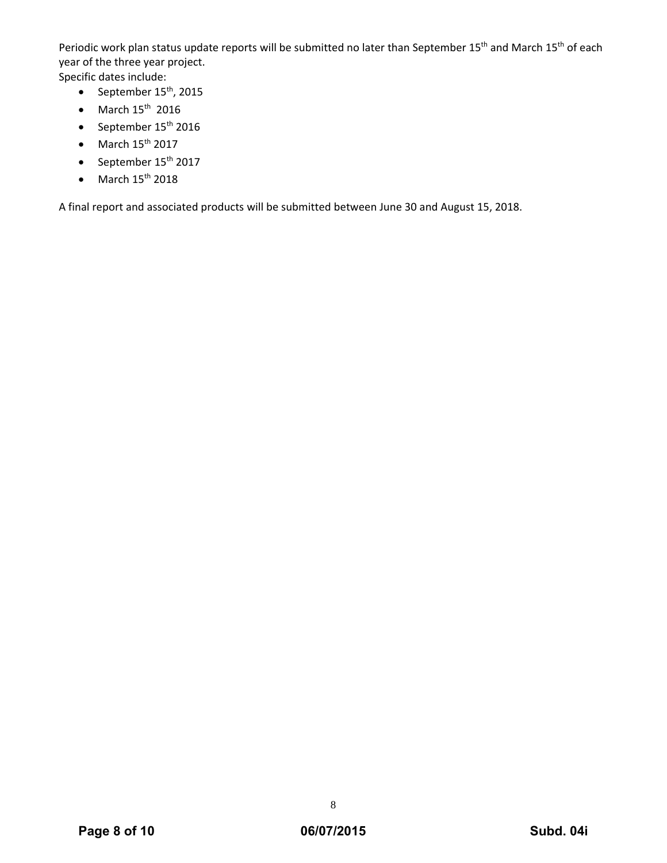Periodic work plan status update reports will be submitted no later than September 15<sup>th</sup> and March 15<sup>th</sup> of each year of the three year project.

Specific dates include:

- September  $15^{th}$ , 2015
- $\bullet$  March  $15^{\text{th}}$  2016
- $\bullet$  September 15<sup>th</sup> 2016
- $\bullet$  March 15<sup>th</sup> 2017
- $\bullet$  September 15<sup>th</sup> 2017
- $\bullet$  March 15<sup>th</sup> 2018

A final report and associated products will be submitted between June 30 and August 15, 2018.

8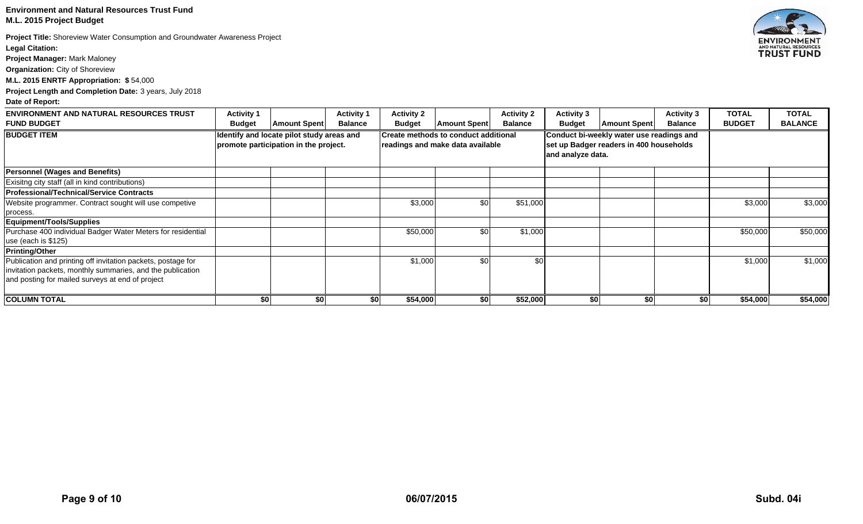#### **Environment and Natural Resources Trust Fund M.L. 2015 Project Budget**

**Project Title:** Shoreview Water Consumption and Groundwater Awareness Project **Legal Citation:** 

**Project Manager:** Mark Maloney

**Organization:** City of Shoreview

**M.L. 2015 ENRTF Appropriation: \$** 54,000

**Project Length and Completion Date:** 3 years, July 2018

#### **Date of Report:**

| <b>ENVIRONMENT AND NATURAL RESOURCES TRUST</b>               | <b>Activity 1</b>                                                                  |                     | <b>Activity 1</b>                                                               | <b>Activity 2</b> |                     | <b>Activity 2</b>                                                                   | <b>Activity 3</b> |                     | <b>Activity 3</b> | <b>TOTAL</b>  | <b>TOTAL</b>   |
|--------------------------------------------------------------|------------------------------------------------------------------------------------|---------------------|---------------------------------------------------------------------------------|-------------------|---------------------|-------------------------------------------------------------------------------------|-------------------|---------------------|-------------------|---------------|----------------|
| <b>FUND BUDGET</b>                                           | <b>Budget</b>                                                                      | <b>Amount Spent</b> | <b>Balance</b>                                                                  | <b>Budget</b>     | <b>Amount Spent</b> | <b>Balance</b>                                                                      | <b>Budget</b>     | <b>Amount Spent</b> | <b>Balance</b>    | <b>BUDGET</b> | <b>BALANCE</b> |
| <b>BUDGET ITEM</b>                                           | Identify and locate pilot study areas and<br>promote participation in the project. |                     | <b>Create methods to conduct additional</b><br>readings and make data available |                   |                     | Conduct bi-weekly water use readings and<br>set up Badger readers in 400 households |                   |                     |                   |               |                |
|                                                              |                                                                                    |                     |                                                                                 |                   |                     |                                                                                     |                   |                     |                   |               |                |
|                                                              |                                                                                    |                     |                                                                                 |                   |                     |                                                                                     | and analyze data. |                     |                   |               |                |
| <b>Personnel (Wages and Benefits)</b>                        |                                                                                    |                     |                                                                                 |                   |                     |                                                                                     |                   |                     |                   |               |                |
| Exisitng city staff (all in kind contributions)              |                                                                                    |                     |                                                                                 |                   |                     |                                                                                     |                   |                     |                   |               |                |
| <b>Professional/Technical/Service Contracts</b>              |                                                                                    |                     |                                                                                 |                   |                     |                                                                                     |                   |                     |                   |               |                |
| Website programmer. Contract sought will use competive       |                                                                                    |                     |                                                                                 | \$3,000           | \$0                 | \$51,000                                                                            |                   |                     |                   | \$3,000       | \$3,000        |
| process.                                                     |                                                                                    |                     |                                                                                 |                   |                     |                                                                                     |                   |                     |                   |               |                |
| Equipment/Tools/Supplies                                     |                                                                                    |                     |                                                                                 |                   |                     |                                                                                     |                   |                     |                   |               |                |
| Purchase 400 individual Badger Water Meters for residential  |                                                                                    |                     |                                                                                 | \$50,000          | \$0                 | \$1,000                                                                             |                   |                     |                   | \$50,000      | \$50,000       |
| use (each is \$125)                                          |                                                                                    |                     |                                                                                 |                   |                     |                                                                                     |                   |                     |                   |               |                |
| <b>Printing/Other</b>                                        |                                                                                    |                     |                                                                                 |                   |                     |                                                                                     |                   |                     |                   |               |                |
| Publication and printing off invitation packets, postage for |                                                                                    |                     |                                                                                 | \$1,000           | \$0                 | \$0                                                                                 |                   |                     |                   | \$1,000       | \$1,000        |
| invitation packets, monthly summaries, and the publication   |                                                                                    |                     |                                                                                 |                   |                     |                                                                                     |                   |                     |                   |               |                |
| and posting for mailed surveys at end of project             |                                                                                    |                     |                                                                                 |                   |                     |                                                                                     |                   |                     |                   |               |                |
| <b>COLUMN TOTAL</b>                                          | \$0                                                                                | \$0                 |                                                                                 | \$54,000<br>\$0   | \$0                 | \$52,000                                                                            | \$0               | \$0                 | \$0               | \$54,000      | \$54,000       |